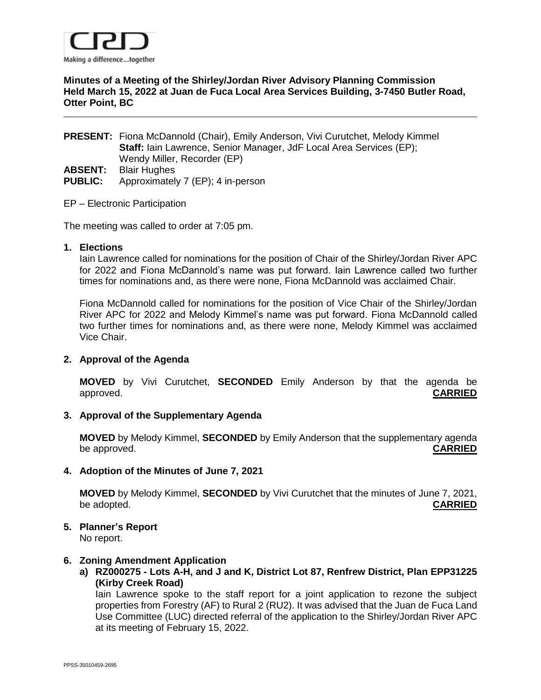

## **Minutes of a Meeting of the Shirley/Jordan River Advisory Planning Commission Held March 15, 2022 at Juan de Fuca Local Area Services Building, 3-7450 Butler Road, Otter Point, BC**

**PRESENT:** Fiona McDannold (Chair), Emily Anderson, Vivi Curutchet, Melody Kimmel **Staff:** Iain Lawrence, Senior Manager, JdF Local Area Services (EP); Wendy Miller, Recorder (EP) **ABSENT:** Blair Hughes **PUBLIC:** Approximately 7 (EP); 4 in-person

#### EP – Electronic Participation

The meeting was called to order at 7:05 pm.

#### **1. Elections**

Iain Lawrence called for nominations for the position of Chair of the Shirley/Jordan River APC for 2022 and Fiona McDannold's name was put forward. Iain Lawrence called two further times for nominations and, as there were none, Fiona McDannold was acclaimed Chair.

Fiona McDannold called for nominations for the position of Vice Chair of the Shirley/Jordan River APC for 2022 and Melody Kimmel's name was put forward. Fiona McDannold called two further times for nominations and, as there were none, Melody Kimmel was acclaimed Vice Chair.

### **2. Approval of the Agenda**

**MOVED** by Vivi Curutchet, **SECONDED** Emily Anderson by that the agenda be approved. **CARRIED**

### **3. Approval of the Supplementary Agenda**

**MOVED** by Melody Kimmel, **SECONDED** by Emily Anderson that the supplementary agenda be approved. **CARRIED**

**4. Adoption of the Minutes of June 7, 2021**

**MOVED** by Melody Kimmel, **SECONDED** by Vivi Curutchet that the minutes of June 7, 2021, be adopted. **CARRIED**

**5. Planner's Report**

No report.

### **6. Zoning Amendment Application**

**a) RZ000275 - Lots A-H, and J and K, District Lot 87, Renfrew District, Plan EPP31225 (Kirby Creek Road)**

Iain Lawrence spoke to the staff report for a joint application to rezone the subject properties from Forestry (AF) to Rural 2 (RU2). It was advised that the Juan de Fuca Land Use Committee (LUC) directed referral of the application to the Shirley/Jordan River APC at its meeting of February 15, 2022.